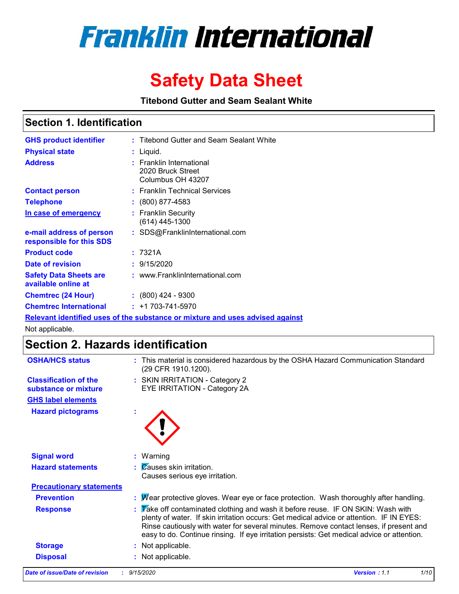

# **Safety Data Sheet**

**Titebond Gutter and Seam Sealant White**

## **Section 1. Identification**

| <b>GHS product identifier</b>                                                 |  | : Titebond Gutter and Seam Sealant White                                |  |  |  |
|-------------------------------------------------------------------------------|--|-------------------------------------------------------------------------|--|--|--|
| <b>Physical state</b>                                                         |  | : Liquid.                                                               |  |  |  |
| <b>Address</b>                                                                |  | <b>Franklin International</b><br>2020 Bruck Street<br>Columbus OH 43207 |  |  |  |
| <b>Contact person</b>                                                         |  | : Franklin Technical Services                                           |  |  |  |
| <b>Telephone</b>                                                              |  | $\div$ (800) 877-4583                                                   |  |  |  |
| In case of emergency                                                          |  | : Franklin Security<br>(614) 445-1300                                   |  |  |  |
| e-mail address of person<br>responsible for this SDS                          |  | : SDS@FranklinInternational.com                                         |  |  |  |
| <b>Product code</b>                                                           |  | : 7321A                                                                 |  |  |  |
| Date of revision                                                              |  | : 9/15/2020                                                             |  |  |  |
| <b>Safety Data Sheets are</b><br>available online at                          |  | : www.FranklinInternational.com                                         |  |  |  |
| <b>Chemtrec (24 Hour)</b>                                                     |  | $: (800)$ 424 - 9300                                                    |  |  |  |
| <b>Chemtrec International</b>                                                 |  | $: +1703 - 741 - 5970$                                                  |  |  |  |
| Relevant identified uses of the substance or mixture and uses advised against |  |                                                                         |  |  |  |

Not applicable.

# **Section 2. Hazards identification**

| Date of issue/Date of revision                       | 1/10<br>: 9/15/2020<br><b>Version: 1.1</b>                                                                                                                                                                                                                                                                                                                           |
|------------------------------------------------------|----------------------------------------------------------------------------------------------------------------------------------------------------------------------------------------------------------------------------------------------------------------------------------------------------------------------------------------------------------------------|
| <b>Disposal</b>                                      | : Not applicable.                                                                                                                                                                                                                                                                                                                                                    |
| <b>Storage</b>                                       | Not applicable.                                                                                                                                                                                                                                                                                                                                                      |
| <b>Response</b>                                      | : Take off contaminated clothing and wash it before reuse. IF ON SKIN: Wash with<br>plenty of water. If skin irritation occurs: Get medical advice or attention. IF IN EYES:<br>Rinse cautiously with water for several minutes. Remove contact lenses, if present and<br>easy to do. Continue rinsing. If eye irritation persists: Get medical advice or attention. |
| <b>Prevention</b>                                    | : Mear protective gloves. Wear eye or face protection. Wash thoroughly after handling.                                                                                                                                                                                                                                                                               |
| <b>Precautionary statements</b>                      |                                                                                                                                                                                                                                                                                                                                                                      |
|                                                      | Causes serious eye irritation.                                                                                                                                                                                                                                                                                                                                       |
| <b>Hazard statements</b>                             | $\mathcal{C}$ auses skin irritation.                                                                                                                                                                                                                                                                                                                                 |
| <b>Signal word</b>                                   | $:$ Warning                                                                                                                                                                                                                                                                                                                                                          |
| <b>Hazard pictograms</b>                             |                                                                                                                                                                                                                                                                                                                                                                      |
| <b>GHS label elements</b>                            |                                                                                                                                                                                                                                                                                                                                                                      |
| <b>Classification of the</b><br>substance or mixture | : SKIN IRRITATION - Category 2<br>EYE IRRITATION - Category 2A                                                                                                                                                                                                                                                                                                       |
| <b>OSHA/HCS status</b>                               | : This material is considered hazardous by the OSHA Hazard Communication Standard<br>(29 CFR 1910.1200).                                                                                                                                                                                                                                                             |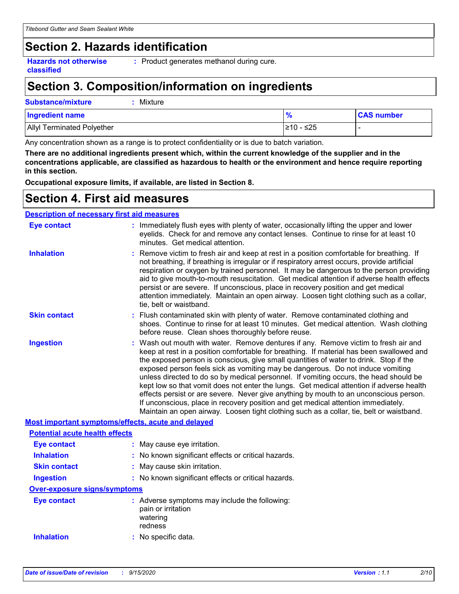## **Section 2. Hazards identification**

**Hazards not otherwise classified**

**:** Product generates methanol during cure.

# **Section 3. Composition/information on ingredients**

## **Substance/mixture :** Mixture

| <b>Ingredient name</b>            |            | <b>CAS number</b> |
|-----------------------------------|------------|-------------------|
| <b>Allyl Terminated Polyether</b> | l≥10 - ≤25 |                   |

Any concentration shown as a range is to protect confidentiality or is due to batch variation.

**There are no additional ingredients present which, within the current knowledge of the supplier and in the concentrations applicable, are classified as hazardous to health or the environment and hence require reporting in this section.**

**Occupational exposure limits, if available, are listed in Section 8.**

## **Section 4. First aid measures**

## **Description of necessary first aid measures**

| <b>Eye contact</b>                                 | : Immediately flush eyes with plenty of water, occasionally lifting the upper and lower<br>eyelids. Check for and remove any contact lenses. Continue to rinse for at least 10<br>minutes. Get medical attention.                                                                                                                                                                                                                                                                                                                                                                                                                                                                                                                                                                                                         |  |
|----------------------------------------------------|---------------------------------------------------------------------------------------------------------------------------------------------------------------------------------------------------------------------------------------------------------------------------------------------------------------------------------------------------------------------------------------------------------------------------------------------------------------------------------------------------------------------------------------------------------------------------------------------------------------------------------------------------------------------------------------------------------------------------------------------------------------------------------------------------------------------------|--|
| <b>Inhalation</b>                                  | : Remove victim to fresh air and keep at rest in a position comfortable for breathing. If<br>not breathing, if breathing is irregular or if respiratory arrest occurs, provide artificial<br>respiration or oxygen by trained personnel. It may be dangerous to the person providing<br>aid to give mouth-to-mouth resuscitation. Get medical attention if adverse health effects<br>persist or are severe. If unconscious, place in recovery position and get medical<br>attention immediately. Maintain an open airway. Loosen tight clothing such as a collar,<br>tie, belt or waistband.                                                                                                                                                                                                                              |  |
| <b>Skin contact</b>                                | : Flush contaminated skin with plenty of water. Remove contaminated clothing and<br>shoes. Continue to rinse for at least 10 minutes. Get medical attention. Wash clothing<br>before reuse. Clean shoes thoroughly before reuse.                                                                                                                                                                                                                                                                                                                                                                                                                                                                                                                                                                                          |  |
| <b>Ingestion</b>                                   | : Wash out mouth with water. Remove dentures if any. Remove victim to fresh air and<br>keep at rest in a position comfortable for breathing. If material has been swallowed and<br>the exposed person is conscious, give small quantities of water to drink. Stop if the<br>exposed person feels sick as vomiting may be dangerous. Do not induce vomiting<br>unless directed to do so by medical personnel. If vomiting occurs, the head should be<br>kept low so that vomit does not enter the lungs. Get medical attention if adverse health<br>effects persist or are severe. Never give anything by mouth to an unconscious person.<br>If unconscious, place in recovery position and get medical attention immediately.<br>Maintain an open airway. Loosen tight clothing such as a collar, tie, belt or waistband. |  |
| Most important symptoms/effects, acute and delayed |                                                                                                                                                                                                                                                                                                                                                                                                                                                                                                                                                                                                                                                                                                                                                                                                                           |  |
| <b>Potential acute health effects</b>              |                                                                                                                                                                                                                                                                                                                                                                                                                                                                                                                                                                                                                                                                                                                                                                                                                           |  |
| <b>Eye contact</b>                                 | : May cause eye irritation.                                                                                                                                                                                                                                                                                                                                                                                                                                                                                                                                                                                                                                                                                                                                                                                               |  |
| <b>Inhalation</b>                                  | : No known significant effects or critical hazards.                                                                                                                                                                                                                                                                                                                                                                                                                                                                                                                                                                                                                                                                                                                                                                       |  |
| <b>Skin contact</b>                                | : May cause skin irritation.                                                                                                                                                                                                                                                                                                                                                                                                                                                                                                                                                                                                                                                                                                                                                                                              |  |
| <b>Ingestion</b>                                   | : No known significant effects or critical hazards.                                                                                                                                                                                                                                                                                                                                                                                                                                                                                                                                                                                                                                                                                                                                                                       |  |
| <b>Over-exposure signs/symptoms</b>                |                                                                                                                                                                                                                                                                                                                                                                                                                                                                                                                                                                                                                                                                                                                                                                                                                           |  |
| <b>Eye contact</b>                                 | : Adverse symptoms may include the following:<br>pain or irritation<br>watering<br>redness                                                                                                                                                                                                                                                                                                                                                                                                                                                                                                                                                                                                                                                                                                                                |  |
| <b>Inhalation</b>                                  | : No specific data.                                                                                                                                                                                                                                                                                                                                                                                                                                                                                                                                                                                                                                                                                                                                                                                                       |  |
|                                                    |                                                                                                                                                                                                                                                                                                                                                                                                                                                                                                                                                                                                                                                                                                                                                                                                                           |  |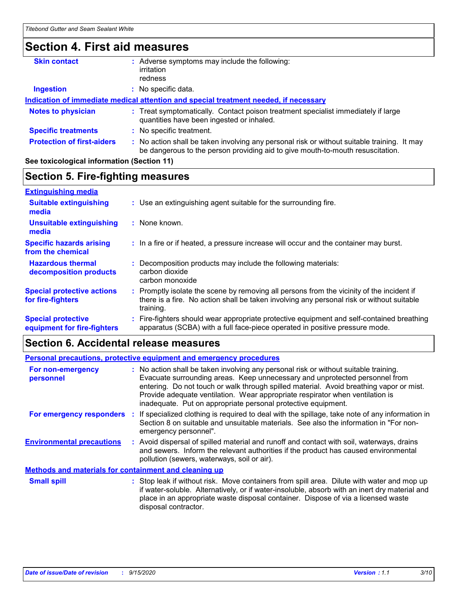# **Section 4. First aid measures**

| <b>Skin contact</b>               | Adverse symptoms may include the following:<br>irritation<br>redness                                                                                                          |
|-----------------------------------|-------------------------------------------------------------------------------------------------------------------------------------------------------------------------------|
| <b>Ingestion</b>                  | No specific data.                                                                                                                                                             |
|                                   | Indication of immediate medical attention and special treatment needed, if necessary                                                                                          |
| <b>Notes to physician</b>         | : Treat symptomatically. Contact poison treatment specialist immediately if large<br>quantities have been ingested or inhaled.                                                |
| <b>Specific treatments</b>        | : No specific treatment.                                                                                                                                                      |
| <b>Protection of first-aiders</b> | : No action shall be taken involving any personal risk or without suitable training. It may<br>be dangerous to the person providing aid to give mouth-to-mouth resuscitation. |

## **See toxicological information (Section 11)**

## **Section 5. Fire-fighting measures**

| <b>Extinguishing media</b>                               |                                                                                                                                                                                                     |
|----------------------------------------------------------|-----------------------------------------------------------------------------------------------------------------------------------------------------------------------------------------------------|
| <b>Suitable extinguishing</b><br>media                   | : Use an extinguishing agent suitable for the surrounding fire.                                                                                                                                     |
| <b>Unsuitable extinguishing</b><br>media                 | : None known.                                                                                                                                                                                       |
| <b>Specific hazards arising</b><br>from the chemical     | : In a fire or if heated, a pressure increase will occur and the container may burst.                                                                                                               |
| <b>Hazardous thermal</b><br>decomposition products       | Decomposition products may include the following materials:<br>carbon dioxide<br>carbon monoxide                                                                                                    |
| <b>Special protective actions</b><br>for fire-fighters   | : Promptly isolate the scene by removing all persons from the vicinity of the incident if<br>there is a fire. No action shall be taken involving any personal risk or without suitable<br>training. |
| <b>Special protective</b><br>equipment for fire-fighters | Fire-fighters should wear appropriate protective equipment and self-contained breathing<br>apparatus (SCBA) with a full face-piece operated in positive pressure mode.                              |

## **Section 6. Accidental release measures**

| Personal precautions, protective equipment and emergency procedures |  |                                                                                                                                                                                                                                                                                                                                                                                                                  |  |
|---------------------------------------------------------------------|--|------------------------------------------------------------------------------------------------------------------------------------------------------------------------------------------------------------------------------------------------------------------------------------------------------------------------------------------------------------------------------------------------------------------|--|
| For non-emergency<br>personnel                                      |  | : No action shall be taken involving any personal risk or without suitable training.<br>Evacuate surrounding areas. Keep unnecessary and unprotected personnel from<br>entering. Do not touch or walk through spilled material. Avoid breathing vapor or mist.<br>Provide adequate ventilation. Wear appropriate respirator when ventilation is<br>inadequate. Put on appropriate personal protective equipment. |  |
| For emergency responders                                            |  | If specialized clothing is required to deal with the spillage, take note of any information in<br>Section 8 on suitable and unsuitable materials. See also the information in "For non-<br>emergency personnel".                                                                                                                                                                                                 |  |
| <b>Environmental precautions</b>                                    |  | : Avoid dispersal of spilled material and runoff and contact with soil, waterways, drains<br>and sewers. Inform the relevant authorities if the product has caused environmental<br>pollution (sewers, waterways, soil or air).                                                                                                                                                                                  |  |
| <b>Methods and materials for containment and cleaning up</b>        |  |                                                                                                                                                                                                                                                                                                                                                                                                                  |  |
| <b>Small spill</b>                                                  |  | : Stop leak if without risk. Move containers from spill area. Dilute with water and mop up<br>if water-soluble. Alternatively, or if water-insoluble, absorb with an inert dry material and<br>place in an appropriate waste disposal container. Dispose of via a licensed waste<br>disposal contractor.                                                                                                         |  |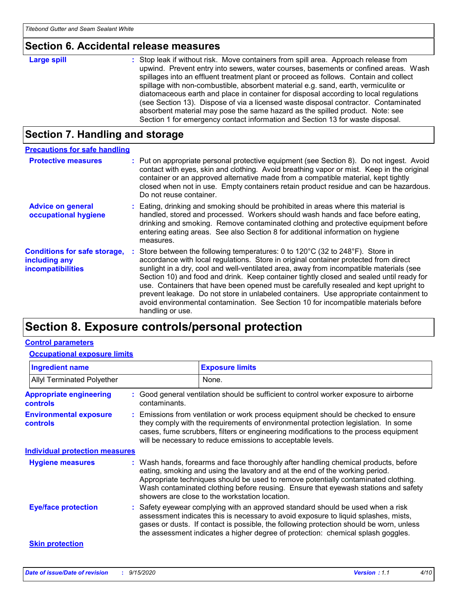## **Section 6. Accidental release measures**

| Large spill | : Stop leak if without risk. Move containers from spill area. Approach release from<br>upwind. Prevent entry into sewers, water courses, basements or confined areas. Wash<br>spillages into an effluent treatment plant or proceed as follows. Contain and collect<br>spillage with non-combustible, absorbent material e.g. sand, earth, vermiculite or<br>diatomaceous earth and place in container for disposal according to local regulations<br>(see Section 13). Dispose of via a licensed waste disposal contractor. Contaminated<br>absorbent material may pose the same hazard as the spilled product. Note: see |
|-------------|----------------------------------------------------------------------------------------------------------------------------------------------------------------------------------------------------------------------------------------------------------------------------------------------------------------------------------------------------------------------------------------------------------------------------------------------------------------------------------------------------------------------------------------------------------------------------------------------------------------------------|
|             | Section 1 for emergency contact information and Section 13 for waste disposal.                                                                                                                                                                                                                                                                                                                                                                                                                                                                                                                                             |

## **Section 7. Handling and storage**

| <b>Precautions for safe handling</b>                                      |                                                                                                                                                                                                                                                                                                                                                                                                                                                                                                                                                                                                                                                                             |
|---------------------------------------------------------------------------|-----------------------------------------------------------------------------------------------------------------------------------------------------------------------------------------------------------------------------------------------------------------------------------------------------------------------------------------------------------------------------------------------------------------------------------------------------------------------------------------------------------------------------------------------------------------------------------------------------------------------------------------------------------------------------|
| <b>Protective measures</b>                                                | : Put on appropriate personal protective equipment (see Section 8). Do not ingest. Avoid<br>contact with eyes, skin and clothing. Avoid breathing vapor or mist. Keep in the original<br>container or an approved alternative made from a compatible material, kept tightly<br>closed when not in use. Empty containers retain product residue and can be hazardous.<br>Do not reuse container.                                                                                                                                                                                                                                                                             |
| <b>Advice on general</b><br>occupational hygiene                          | : Eating, drinking and smoking should be prohibited in areas where this material is<br>handled, stored and processed. Workers should wash hands and face before eating,<br>drinking and smoking. Remove contaminated clothing and protective equipment before<br>entering eating areas. See also Section 8 for additional information on hygiene<br>measures.                                                                                                                                                                                                                                                                                                               |
| <b>Conditions for safe storage,</b><br>including any<br>incompatibilities | Store between the following temperatures: 0 to $120^{\circ}$ C (32 to $248^{\circ}$ F). Store in<br>accordance with local regulations. Store in original container protected from direct<br>sunlight in a dry, cool and well-ventilated area, away from incompatible materials (see<br>Section 10) and food and drink. Keep container tightly closed and sealed until ready for<br>use. Containers that have been opened must be carefully resealed and kept upright to<br>prevent leakage. Do not store in unlabeled containers. Use appropriate containment to<br>avoid environmental contamination. See Section 10 for incompatible materials before<br>handling or use. |

# **Section 8. Exposure controls/personal protection**

## **Control parameters**

### **Occupational exposure limits**

| <b>Ingredient name</b>                            |               | <b>Exposure limits</b>                                                                                                                                                                                                                                                                                                                                                                            |
|---------------------------------------------------|---------------|---------------------------------------------------------------------------------------------------------------------------------------------------------------------------------------------------------------------------------------------------------------------------------------------------------------------------------------------------------------------------------------------------|
| <b>Allyl Terminated Polyether</b>                 |               | None.                                                                                                                                                                                                                                                                                                                                                                                             |
| <b>Appropriate engineering</b><br><b>controls</b> | contaminants. | : Good general ventilation should be sufficient to control worker exposure to airborne                                                                                                                                                                                                                                                                                                            |
| <b>Environmental exposure</b><br><b>controls</b>  |               | : Emissions from ventilation or work process equipment should be checked to ensure<br>they comply with the requirements of environmental protection legislation. In some<br>cases, fume scrubbers, filters or engineering modifications to the process equipment<br>will be necessary to reduce emissions to acceptable levels.                                                                   |
| <b>Individual protection measures</b>             |               |                                                                                                                                                                                                                                                                                                                                                                                                   |
| <b>Hygiene measures</b>                           |               | : Wash hands, forearms and face thoroughly after handling chemical products, before<br>eating, smoking and using the lavatory and at the end of the working period.<br>Appropriate techniques should be used to remove potentially contaminated clothing.<br>Wash contaminated clothing before reusing. Ensure that eyewash stations and safety<br>showers are close to the workstation location. |
| <b>Eye/face protection</b>                        |               | : Safety eyewear complying with an approved standard should be used when a risk<br>assessment indicates this is necessary to avoid exposure to liquid splashes, mists,<br>gases or dusts. If contact is possible, the following protection should be worn, unless<br>the assessment indicates a higher degree of protection: chemical splash goggles.                                             |
| <b>Skin protection</b>                            |               |                                                                                                                                                                                                                                                                                                                                                                                                   |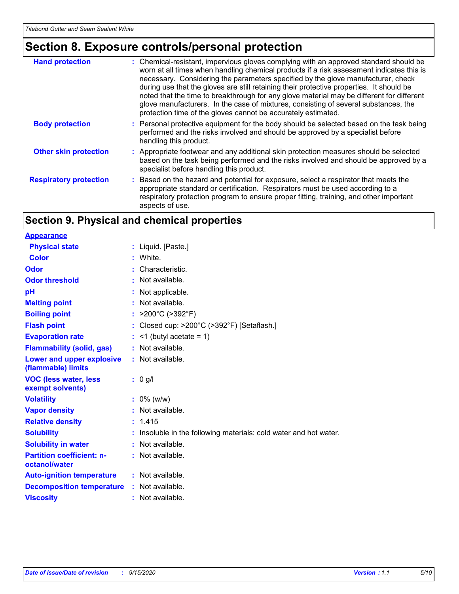# **Section 8. Exposure controls/personal protection**

| <b>Hand protection</b>        | : Chemical-resistant, impervious gloves complying with an approved standard should be<br>worn at all times when handling chemical products if a risk assessment indicates this is<br>necessary. Considering the parameters specified by the glove manufacturer, check<br>during use that the gloves are still retaining their protective properties. It should be<br>noted that the time to breakthrough for any glove material may be different for different<br>glove manufacturers. In the case of mixtures, consisting of several substances, the<br>protection time of the gloves cannot be accurately estimated. |
|-------------------------------|------------------------------------------------------------------------------------------------------------------------------------------------------------------------------------------------------------------------------------------------------------------------------------------------------------------------------------------------------------------------------------------------------------------------------------------------------------------------------------------------------------------------------------------------------------------------------------------------------------------------|
| <b>Body protection</b>        | : Personal protective equipment for the body should be selected based on the task being<br>performed and the risks involved and should be approved by a specialist before<br>handling this product.                                                                                                                                                                                                                                                                                                                                                                                                                    |
| <b>Other skin protection</b>  | : Appropriate footwear and any additional skin protection measures should be selected<br>based on the task being performed and the risks involved and should be approved by a<br>specialist before handling this product.                                                                                                                                                                                                                                                                                                                                                                                              |
| <b>Respiratory protection</b> | : Based on the hazard and potential for exposure, select a respirator that meets the<br>appropriate standard or certification. Respirators must be used according to a<br>respiratory protection program to ensure proper fitting, training, and other important<br>aspects of use.                                                                                                                                                                                                                                                                                                                                    |

## **Section 9. Physical and chemical properties**

| <b>Appearance</b>                                 |    |                                                                 |
|---------------------------------------------------|----|-----------------------------------------------------------------|
| <b>Physical state</b>                             |    | : Liquid. [Paste.]                                              |
| <b>Color</b>                                      |    | White.                                                          |
| Odor                                              |    | Characteristic.                                                 |
| <b>Odor threshold</b>                             |    | : Not available.                                                |
| pH                                                |    | : Not applicable.                                               |
| <b>Melting point</b>                              |    | : Not available.                                                |
| <b>Boiling point</b>                              | t. | >200°C (>392°F)                                                 |
| <b>Flash point</b>                                |    | Closed cup: >200°C (>392°F) [Setaflash.]                        |
| <b>Evaporation rate</b>                           |    | $\leq$ 1 (butyl acetate = 1)                                    |
| <b>Flammability (solid, gas)</b>                  |    | : Not available.                                                |
| Lower and upper explosive<br>(flammable) limits   |    | : Not available.                                                |
| <b>VOC (less water, less</b><br>exempt solvents)  |    | $: 0$ g/l                                                       |
| <b>Volatility</b>                                 |    | $: 0\%$ (w/w)                                                   |
| <b>Vapor density</b>                              |    | : Not available.                                                |
| <b>Relative density</b>                           |    | : 1.415                                                         |
| <b>Solubility</b>                                 |    | Insoluble in the following materials: cold water and hot water. |
| <b>Solubility in water</b>                        |    | : Not available.                                                |
| <b>Partition coefficient: n-</b><br>octanol/water |    | : Not available.                                                |
| <b>Auto-ignition temperature</b>                  |    | $:$ Not available.                                              |
| <b>Decomposition temperature</b>                  |    | : Not available.                                                |
| <b>Viscosity</b>                                  |    | : Not available.                                                |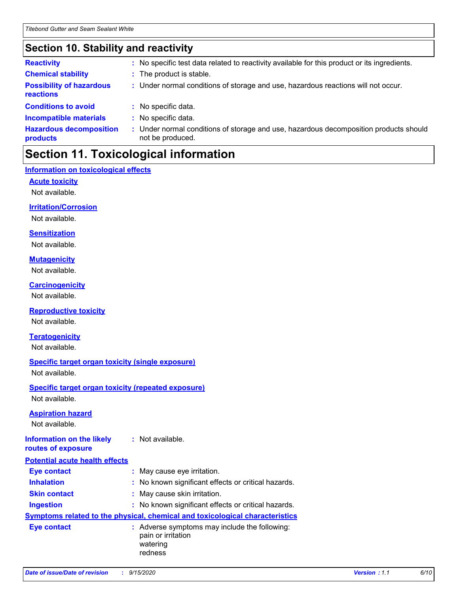## **Section 10. Stability and reactivity**

| <b>Reactivity</b>                            | : No specific test data related to reactivity available for this product or its ingredients.              |
|----------------------------------------------|-----------------------------------------------------------------------------------------------------------|
| <b>Chemical stability</b>                    | : The product is stable.                                                                                  |
| <b>Possibility of hazardous</b><br>reactions | : Under normal conditions of storage and use, hazardous reactions will not occur.                         |
| <b>Conditions to avoid</b>                   | : No specific data.                                                                                       |
| <b>Incompatible materials</b>                | : No specific data.                                                                                       |
| <b>Hazardous decomposition</b><br>products   | : Under normal conditions of storage and use, hazardous decomposition products should<br>not be produced. |

## **Section 11. Toxicological information**

## **Information on toxicological effects**

**Acute toxicity**

Not available.

## **Irritation/Corrosion**

Not available.

### **Sensitization**

Not available.

### **Mutagenicity**

Not available.

## **Carcinogenicity**

Not available.

## **Reproductive toxicity**

Not available.

### **Teratogenicity**

Not available.

## **Specific target organ toxicity (single exposure)**

Not available.

### **Specific target organ toxicity (repeated exposure)** Not available.

### **Aspiration hazard**

Not available.

#### **Information on the likely routes of exposure :** Not available.

| <b>Potential acute health effects</b> |                                                                                            |
|---------------------------------------|--------------------------------------------------------------------------------------------|
| <b>Eye contact</b>                    | : May cause eye irritation.                                                                |
| <b>Inhalation</b>                     | : No known significant effects or critical hazards.                                        |
| <b>Skin contact</b>                   | : May cause skin irritation.                                                               |
| <b>Ingestion</b>                      | : No known significant effects or critical hazards.                                        |
|                                       | <b>Symptoms related to the physical, chemical and toxicological characteristics</b>        |
| <b>Eye contact</b>                    | : Adverse symptoms may include the following:<br>pain or irritation<br>watering<br>redness |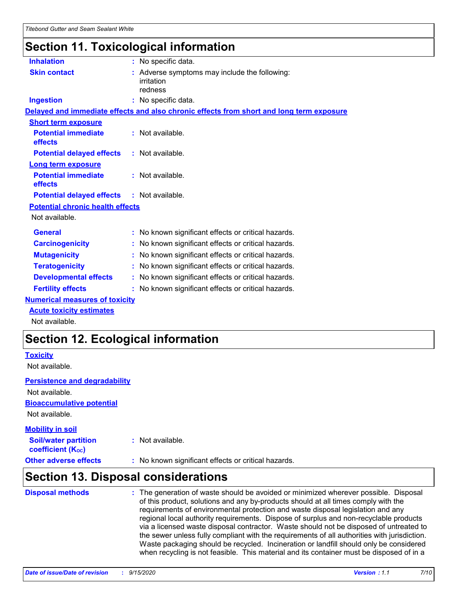# **Section 11. Toxicological information**

| <b>Inhalation</b>                       | : No specific data.                                                                      |  |
|-----------------------------------------|------------------------------------------------------------------------------------------|--|
| <b>Skin contact</b>                     | : Adverse symptoms may include the following:<br>irritation<br>redness                   |  |
| <b>Ingestion</b>                        | : No specific data.                                                                      |  |
|                                         | Delayed and immediate effects and also chronic effects from short and long term exposure |  |
| <b>Short term exposure</b>              |                                                                                          |  |
| <b>Potential immediate</b><br>effects   | : Not available.                                                                         |  |
| <b>Potential delayed effects</b>        | $:$ Not available.                                                                       |  |
| <b>Long term exposure</b>               |                                                                                          |  |
| <b>Potential immediate</b><br>effects   | : Not available.                                                                         |  |
| <b>Potential delayed effects</b>        | : Not available.                                                                         |  |
| <b>Potential chronic health effects</b> |                                                                                          |  |
| Not available.                          |                                                                                          |  |
| <b>General</b>                          | : No known significant effects or critical hazards.                                      |  |
| <b>Carcinogenicity</b>                  | : No known significant effects or critical hazards.                                      |  |
| <b>Mutagenicity</b>                     | : No known significant effects or critical hazards.                                      |  |
| <b>Teratogenicity</b>                   | : No known significant effects or critical hazards.                                      |  |
| <b>Developmental effects</b>            | : No known significant effects or critical hazards.                                      |  |
| <b>Fertility effects</b>                | : No known significant effects or critical hazards.                                      |  |
| <b>Numerical measures of toxicity</b>   |                                                                                          |  |
| <b>Acute toxicity estimates</b>         |                                                                                          |  |

Not available.

## **Section 12. Ecological information**

## **Toxicity**

Not available.

## **Persistence and degradability**

**Bioaccumulative potential** Not available. Not available.

### **Other adverse effects** : No known significant effects or critical hazards. **Soil/water partition coefficient (KOC) :** Not available. **Mobility in soil**

# **Section 13. Disposal considerations**

| <b>Disposal methods</b> | : The generation of waste should be avoided or minimized wherever possible. Disposal<br>of this product, solutions and any by-products should at all times comply with the<br>requirements of environmental protection and waste disposal legislation and any<br>regional local authority requirements. Dispose of surplus and non-recyclable products<br>via a licensed waste disposal contractor. Waste should not be disposed of untreated to<br>the sewer unless fully compliant with the requirements of all authorities with jurisdiction.<br>Waste packaging should be recycled. Incineration or landfill should only be considered<br>when recycling is not feasible. This material and its container must be disposed of in a |
|-------------------------|----------------------------------------------------------------------------------------------------------------------------------------------------------------------------------------------------------------------------------------------------------------------------------------------------------------------------------------------------------------------------------------------------------------------------------------------------------------------------------------------------------------------------------------------------------------------------------------------------------------------------------------------------------------------------------------------------------------------------------------|
|-------------------------|----------------------------------------------------------------------------------------------------------------------------------------------------------------------------------------------------------------------------------------------------------------------------------------------------------------------------------------------------------------------------------------------------------------------------------------------------------------------------------------------------------------------------------------------------------------------------------------------------------------------------------------------------------------------------------------------------------------------------------------|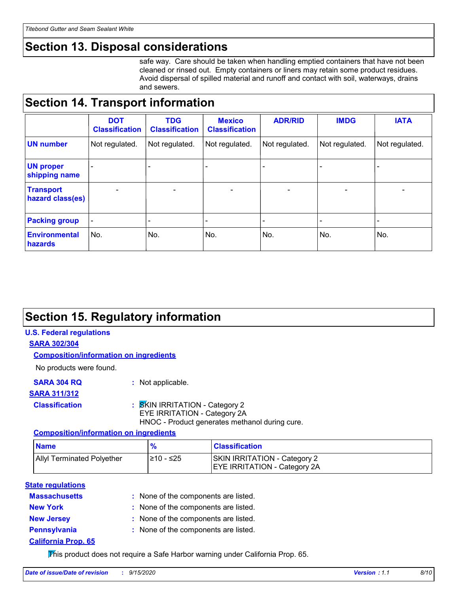## **Section 13. Disposal considerations**

safe way. Care should be taken when handling emptied containers that have not been cleaned or rinsed out. Empty containers or liners may retain some product residues. Avoid dispersal of spilled material and runoff and contact with soil, waterways, drains and sewers.

## **Section 14. Transport information**

|                                      | <b>DOT</b><br><b>Classification</b> | <b>TDG</b><br><b>Classification</b> | <b>Mexico</b><br><b>Classification</b> | <b>ADR/RID</b>               | <b>IMDG</b>    | <b>IATA</b>    |
|--------------------------------------|-------------------------------------|-------------------------------------|----------------------------------------|------------------------------|----------------|----------------|
| <b>UN number</b>                     | Not regulated.                      | Not regulated.                      | Not regulated.                         | Not regulated.               | Not regulated. | Not regulated. |
| <b>UN proper</b><br>shipping name    | $\qquad \qquad \blacksquare$        |                                     |                                        |                              |                |                |
| <b>Transport</b><br>hazard class(es) | $\overline{\phantom{0}}$            | $\overline{\phantom{0}}$            | $\overline{\phantom{0}}$               | $\qquad \qquad \blacksquare$ | $\blacksquare$ |                |
| <b>Packing group</b>                 | $\overline{\phantom{a}}$            | -                                   |                                        |                              |                |                |
| <b>Environmental</b><br>hazards      | No.                                 | No.                                 | No.                                    | No.                          | No.            | No.            |

## **Section 15. Regulatory information**

## **U.S. Federal regulations**

**SARA 302/304**

### **Composition/information on ingredients**

No products were found.

**SARA 304 RQ :** Not applicable.

## **SARA 311/312**

## **Classification :** SKIN IRRITATION - Category 2

EYE IRRITATION - Category 2A

HNOC - Product generates methanol during cure.

## **Composition/information on ingredients**

| <b>Name</b>                       | $\frac{9}{6}$ | <b>Classification</b>                                                      |  |
|-----------------------------------|---------------|----------------------------------------------------------------------------|--|
| <b>Allyl Terminated Polyether</b> | l≥10 - ≤25    | <b>SKIN IRRITATION - Category 2</b><br><b>EYE IRRITATION - Category 2A</b> |  |

## **State regulations**

| <b>Massachusetts</b>       | : None of the components are listed. |
|----------------------------|--------------------------------------|
| <b>New York</b>            | : None of the components are listed. |
| <b>New Jersey</b>          | : None of the components are listed. |
| <b>Pennsylvania</b>        | : None of the components are listed. |
| <b>California Prop. 65</b> |                                      |

This product does not require a Safe Harbor warning under California Prop. 65.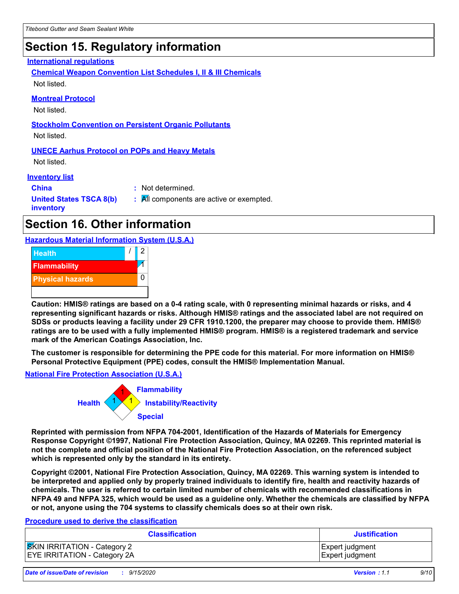# **Section 15. Regulatory information**

## **International regulations**

**Chemical Weapon Convention List Schedules I, II & III Chemicals** Not listed.

### **Montreal Protocol**

Not listed.

### **Stockholm Convention on Persistent Organic Pollutants**

Not listed.

### **UNECE Aarhus Protocol on POPs and Heavy Metals**

Not listed.

### **Inventory list**

**China :** Not determined. **United States TSCA 8(b) inventory :** All components are active or exempted.

## **Section 16. Other information**

**Hazardous Material Information System (U.S.A.)**



**Caution: HMIS® ratings are based on a 0-4 rating scale, with 0 representing minimal hazards or risks, and 4 representing significant hazards or risks. Although HMIS® ratings and the associated label are not required on SDSs or products leaving a facility under 29 CFR 1910.1200, the preparer may choose to provide them. HMIS® ratings are to be used with a fully implemented HMIS® program. HMIS® is a registered trademark and service mark of the American Coatings Association, Inc.**

**The customer is responsible for determining the PPE code for this material. For more information on HMIS® Personal Protective Equipment (PPE) codes, consult the HMIS® Implementation Manual.**

**National Fire Protection Association (U.S.A.)**



**Reprinted with permission from NFPA 704-2001, Identification of the Hazards of Materials for Emergency Response Copyright ©1997, National Fire Protection Association, Quincy, MA 02269. This reprinted material is not the complete and official position of the National Fire Protection Association, on the referenced subject which is represented only by the standard in its entirety.**

**Copyright ©2001, National Fire Protection Association, Quincy, MA 02269. This warning system is intended to be interpreted and applied only by properly trained individuals to identify fire, health and reactivity hazards of chemicals. The user is referred to certain limited number of chemicals with recommended classifications in NFPA 49 and NFPA 325, which would be used as a guideline only. Whether the chemicals are classified by NFPA or not, anyone using the 704 systems to classify chemicals does so at their own risk.**

### **Procedure used to derive the classification**

| <b>Classification</b>               | <b>Justification</b>   |
|-------------------------------------|------------------------|
| <b>SKIN IRRITATION</b> - Category 2 | <b>Expert judgment</b> |
| <b>EYE IRRITATION - Category 2A</b> | <b>Expert judgment</b> |